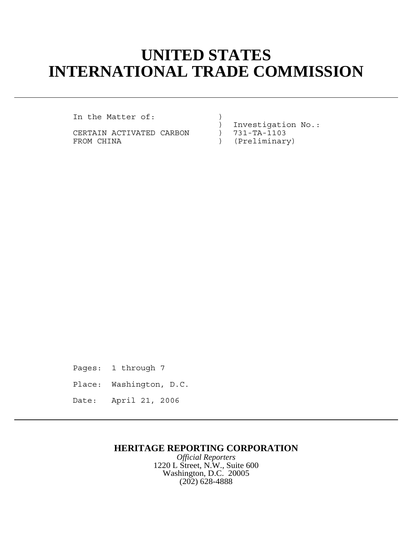## **UNITED STATES INTERNATIONAL TRADE COMMISSION**

In the Matter of: (1)

CERTAIN ACTIVATED CARBON ) FROM CHINA  $(Preliminary)$ 

) Investigation No.:<br>) 731-TA-1103

Pages: 1 through 7 Place: Washington, D.C. Date: April 21, 2006

## **HERITAGE REPORTING CORPORATION**

*Official Reporters* 1220 L Street, N.W., Suite 600 Washington, D.C. 20005 (202) 628-4888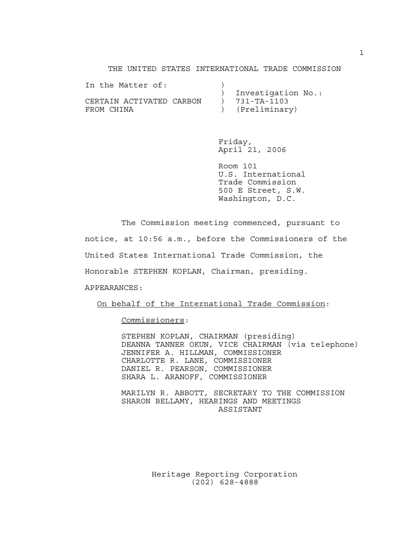THE UNITED STATES INTERNATIONAL TRADE COMMISSION

| In the Matter of:        |                     |
|--------------------------|---------------------|
|                          | Investigation No.:  |
| CERTAIN ACTIVATED CARBON | $) 731 - TA - 1103$ |
| FROM CHINA               | ) (Preliminary)     |

Friday, April 21, 2006

Room 101 U.S. International Trade Commission 500 E Street, S.W. Washington, D.C.

The Commission meeting commenced, pursuant to

notice, at 10:56 a.m., before the Commissioners of the

United States International Trade Commission, the

Honorable STEPHEN KOPLAN, Chairman, presiding.

APPEARANCES:

On behalf of the International Trade Commission:

Commissioners:

STEPHEN KOPLAN, CHAIRMAN (presiding) DEANNA TANNER OKUN, VICE CHAIRMAN (via telephone) JENNIFER A. HILLMAN, COMMISSIONER CHARLOTTE R. LANE, COMMISSIONER DANIEL R. PEARSON, COMMISSIONER SHARA L. ARANOFF, COMMISSIONER

MARILYN R. ABBOTT, SECRETARY TO THE COMMISSION SHARON BELLAMY, HEARINGS AND MEETINGS ASSISTANT

> Heritage Reporting Corporation (202) 628-4888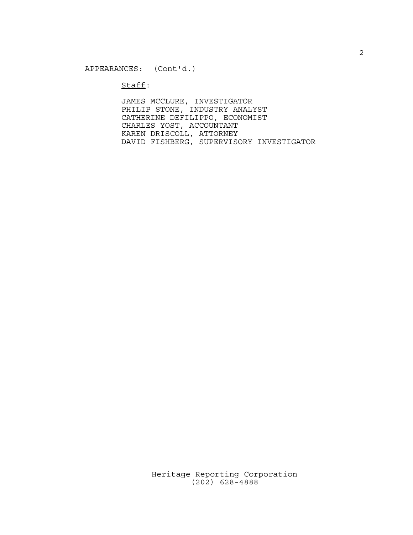$Stat:$ 

JAMES MCCLURE, INVESTIGATOR PHILIP STONE, INDUSTRY ANALYST CATHERINE DEFILIPPO, ECONOMIST CHARLES YOST, ACCOUNTANT KAREN DRISCOLL, ATTORNEY DAVID FISHBERG, SUPERVISORY INVESTIGATOR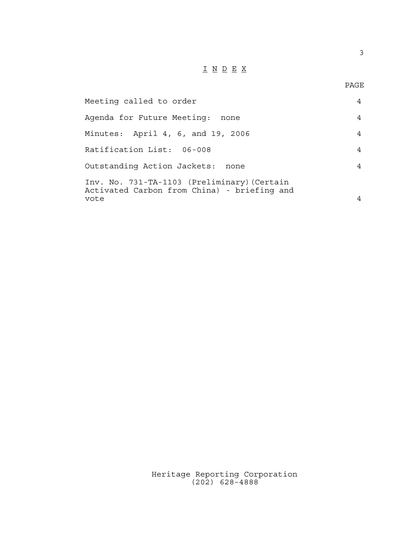## I N D E X

3

| Meeting called to order                                                                            |   |
|----------------------------------------------------------------------------------------------------|---|
| Agenda for Future Meeting:<br>none                                                                 | 4 |
| Minutes: April 4, 6, and 19, 2006                                                                  | 4 |
| Ratification List: 06-008                                                                          | 4 |
| Outstanding Action Jackets:<br>none                                                                | 4 |
| Inv. No. 731-TA-1103 (Preliminary) (Certain<br>Activated Carbon from China) - briefing and<br>vote |   |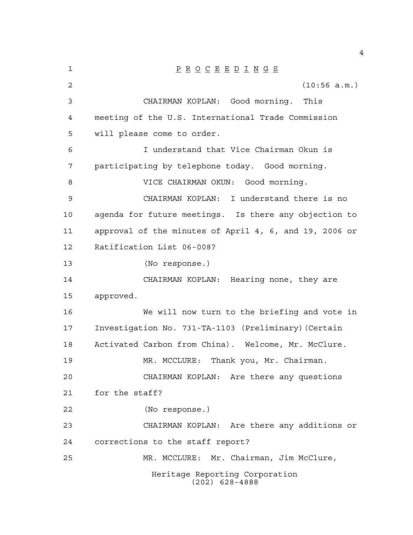| $\mathbf 1$    | $\underline{P} \underline{R} \underline{O} \underline{C} \underline{E} \underline{E} \underline{D} \underline{I} \underline{N} \underline{G} \underline{S}$ |
|----------------|-------------------------------------------------------------------------------------------------------------------------------------------------------------|
| $\overline{2}$ | (10:56 a.m.)                                                                                                                                                |
| $\mathfrak{Z}$ | CHAIRMAN KOPLAN: Good morning.<br>This                                                                                                                      |
| 4              | meeting of the U.S. International Trade Commission                                                                                                          |
| 5              | will please come to order.                                                                                                                                  |
| 6              | I understand that Vice Chairman Okun is                                                                                                                     |
| 7              | participating by telephone today. Good morning.                                                                                                             |
| 8              | VICE CHAIRMAN OKUN: Good morning.                                                                                                                           |
| 9              | CHAIRMAN KOPLAN:<br>I understand there is no                                                                                                                |
| 10             | agenda for future meetings. Is there any objection to                                                                                                       |
| 11             | approval of the minutes of April 4, 6, and 19, 2006 or                                                                                                      |
| 12             | Ratification List 06-008?                                                                                                                                   |
| 13             | (No response.)                                                                                                                                              |
| 14             | CHAIRMAN KOPLAN: Hearing none, they are                                                                                                                     |
| 15             | approved.                                                                                                                                                   |
| 16             | We will now turn to the briefing and vote in                                                                                                                |
| 17             | Investigation No. 731-TA-1103 (Preliminary) (Certain                                                                                                        |
| 18             | Activated Carbon from China). Welcome, Mr. McClure.                                                                                                         |
| 19             | MR. MCCLURE:<br>Thank you, Mr. Chairman.                                                                                                                    |
| 20             | CHAIRMAN KOPLAN: Are there any questions                                                                                                                    |
| 21             | for the staff?                                                                                                                                              |
| 22             | (No response.)                                                                                                                                              |
| 23             | CHAIRMAN KOPLAN: Are there any additions or                                                                                                                 |
| 24             | corrections to the staff report?                                                                                                                            |
| 25             | MR. MCCLURE: Mr. Chairman, Jim McClure,                                                                                                                     |
|                | Heritage Reporting Corporation<br>$(202)$ 628-4888                                                                                                          |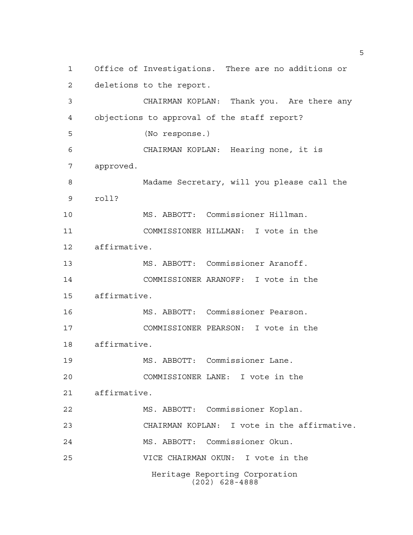Heritage Reporting Corporation (202) 628-4888 Office of Investigations. There are no additions or deletions to the report. CHAIRMAN KOPLAN: Thank you. Are there any objections to approval of the staff report? (No response.) CHAIRMAN KOPLAN: Hearing none, it is approved. Madame Secretary, will you please call the roll? MS. ABBOTT: Commissioner Hillman. COMMISSIONER HILLMAN: I vote in the affirmative. MS. ABBOTT: Commissioner Aranoff. COMMISSIONER ARANOFF: I vote in the affirmative. MS. ABBOTT: Commissioner Pearson. COMMISSIONER PEARSON: I vote in the affirmative. MS. ABBOTT: Commissioner Lane. COMMISSIONER LANE: I vote in the affirmative. MS. ABBOTT: Commissioner Koplan. CHAIRMAN KOPLAN: I vote in the affirmative. MS. ABBOTT: Commissioner Okun. VICE CHAIRMAN OKUN: I vote in the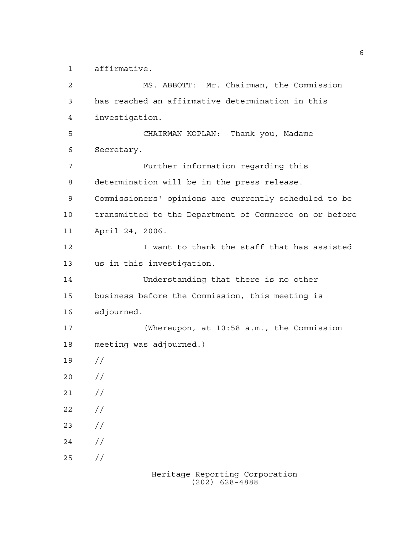affirmative.

 MS. ABBOTT: Mr. Chairman, the Commission has reached an affirmative determination in this investigation. CHAIRMAN KOPLAN: Thank you, Madame Secretary. Further information regarding this determination will be in the press release. Commissioners' opinions are currently scheduled to be transmitted to the Department of Commerce on or before April 24, 2006. I want to thank the staff that has assisted us in this investigation. Understanding that there is no other business before the Commission, this meeting is adjourned. (Whereupon, at 10:58 a.m., the Commission meeting was adjourned.) //  $20 /$  $21 /$  $22 / /$  $23 / /$  $24 /$ //

Heritage Reporting Corporation (202) 628-4888